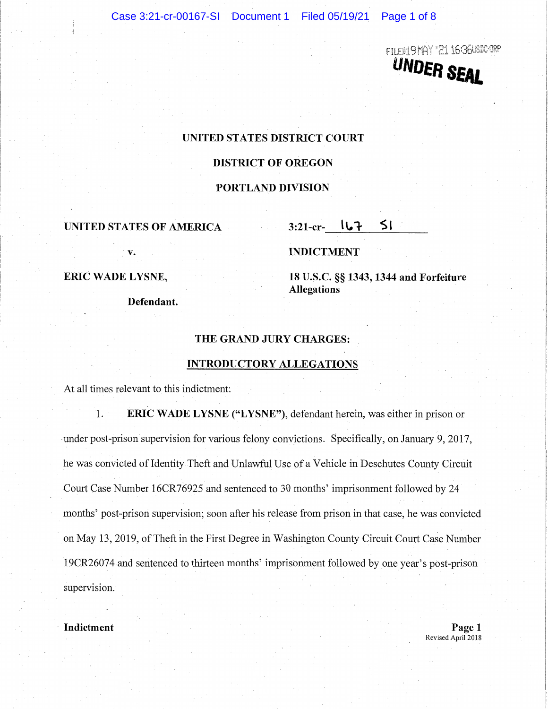FILED19MAY '21 16:36USDC-ORF **UNDER SEAL** 

# **UNITED STATES DISTRICT COURT**

## **DISTRICT OF OREGON**

### **PORTLAND DIVISION**

# UNITED STATES OF AMERICA 3:21-cr- **l**

**v.** 

### **INDICTMENT**

#### **ERIC WADE LYSNE,**

**Defendant.** 

**18 U.S.C. §§ 1343, 1344 and Forfeiture Allegations** 

#### **THE GRAND JURY CHARGES:**

# **INTRODUCTORY ALLEGATIONS**

At all times relevant to this indictment:

**1. ERIC WADE LYSNE ("LYSNE"),** defendant herein, was either in prison or under post-prison supervision for various felony convictions. Specifically, on January 9, 2017, he was convicted of Identity Theft and Unlawful Use of a Vehicle in Deschutes County Circuit Court Case Number 16CR76925 and sentenced to 30 months' imprisonment followed by 24 months' post-prison supervision; soon after his release from prison in that case, he was convicted on May 13, 2019, of Theft in the First Degree in Washington County Circuit Court Case Number 19CR26074 and sentenced to thirteen months' imprisonment followed by one year's post-prison supervision.

**Indictment** Page 1 Revised April 2018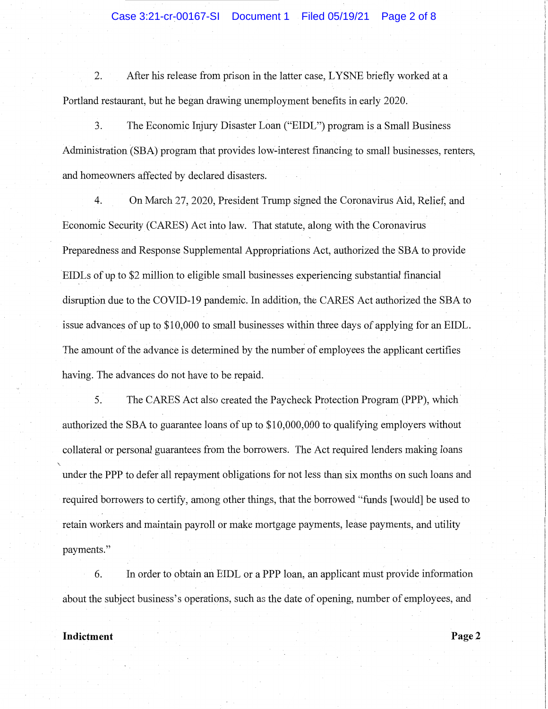## Case 3:21-cr-00167-SI Document 1 Filed 05/19/21 Page 2 of 8

2. After his release from prison in the latter case, LYSNE briefly worked at a Portland restaurant, but he began drawing unemployment benefits in early 2020.

3. The Economic Injury Disaster Loan ("EIDL") program is a Small Business Administration (SBA) program that provides low-interest financing to small businesses, renters, and homeowners affected by declared disasters.

4. On March 27, 2020, President Trump signed the Coronavirus Aid, Relief, and Economic Security (CARES) Act into law. That statute, along with the Coronavirus Preparedness and Response Supplemental Appropriations Act, authorized the SBA to provide EIDLs of up to \$2 million to eligible small businesses experiencing substantial financial disruption due to the COVID-19 pandemic. In addition, the CARES Act authorized the SBA to issue advances of up to \$10,000 to small businesses within three days of applying for an EIDL. The amount of the advance is determined by the number of employees the applicant certifies having. The advances do not have to be repaid.

5. The CARES Act also created the Paycheck Protection Program (PPP), which authorized the SBA to guarantee loans of up to  $$10,000,000$  to qualifying employers without collateral or personal guarantees from the borrowers. The Act required lenders making loans under the PPP to defer all repayment obligations for not less than six months on such loans and required borrowers to certify, among other things, that the borrowed "funds [would] be used to retain workers and maintain payroll or make mortgage payments, lease payments, and utility payments."

6. In order to obtain an EIDL or a PPP loan, an applicant must provide information about the subject business's operations, such as the date of opening, number of employees, and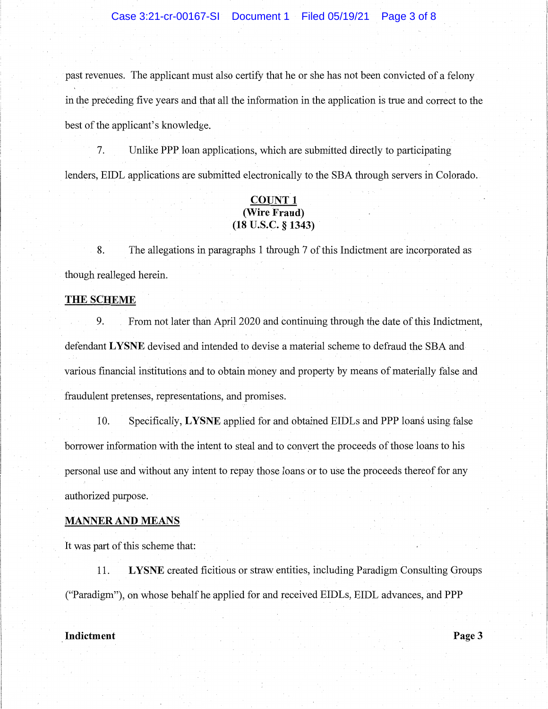## Case 3:21-cr-00167-SI Document 1 Filed 05/19/21 Page 3 of 8

past revenues. The applicant must also certify that he or she has not been convicted of a felony in the preceding five years and that all the information in the application is true and correct to the best of the applicant's knowledge.

7. Unlike **PPP** loan applications, which are submitted directly to participating lenders, EIDL applications are submitted electronically to the SBA through servers in Colorado.

# **COUNT 1 (Wire Fraud) (18 u.s.c. § 1343)**

8. The allegations in paragraphs 1 through 7 of this Indictment are incorporated as though realleged herein.

#### **THE SCHEME**

9. From not later than April 2020 and continuing through the date of this Indictment, defendant **LYSNE** devised and intended to devise a material scheme to defraud the SBA and various financial institutions and to obtain money and property by means of materially false and fraudulent pretenses, representations, and promises.

10. Specifically, **LYSNE** applied for and obtained EIDLs and **PPP** loans using false borrower information with the intent to steal and to convert the proceeds of those loans to his personal use and without any intent to repay those loans or to use the proceeds thereof for any authorized purpose.

#### **MANNER AND MEANS**

It was part of this scheme that:

11. **LYSNE** created ficitious or straw entities, including Paradigm Consulting Groups ("Paradigm"), on whose behalf he applied for and received EIDLs, EIDL advances, and PPP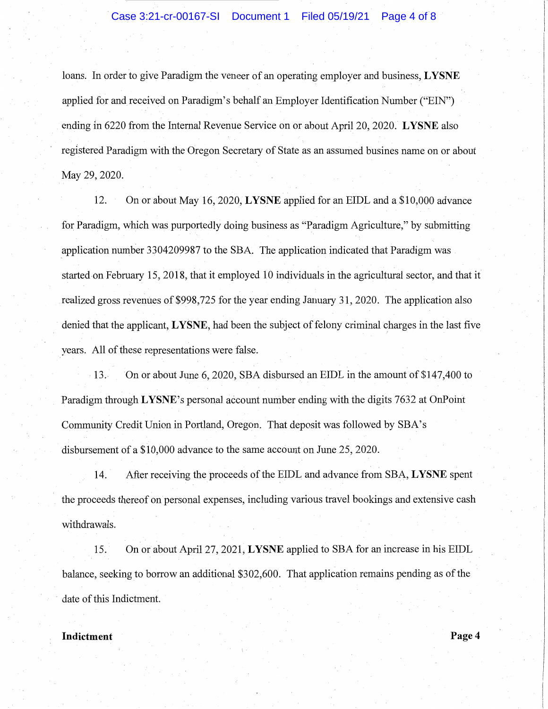## Case 3:21-cr-00167-SI Document 1 Filed 05/19/21 Page 4 of 8

loans. In order to give Paradigm the veneer of an operating employer and business, **LYSNE**  applied for and received on Paradigm's behalf an Employer Identification Number ("EIN") ending in 6220 from the Internal Revenue Service on or about April 20, 2020. **LYSNE** also registered Paradigm with the Oregon Secretary of State as an assumed busines name on or about May 29, 2020.

12. On or about May 16, 2020, **LYSNE** applied for an EIDL and a \$10,000 advance for Paradigm, which was purportedly doing business as "Paradigm Agriculture," by submitting application number 3304209987 to the SBA. The application indicated that Paradigm was started on February 15, 2018, that it employed 10 individuals in the agricultural sector, and that it realized gross revenues of \$998,725 for the year ending January 31, 2020. The application also denied that the applicant, **LYSNE,** had been the subject of felony criminal charges in the last five years. All of these representations were false.

13. On or about June 6, 2020, SBA disbursed an EIDL in the amount of \$147,400 to Paradigm through **LYSNE's** personal account number ending with the digits 7632 at OnPoint Community Credit Union in Portland, Oregon. That deposit was followed by SBA's disbursement of a \$10,000 advance to the same account on June 25, 2020.

14. · After receiving the proceeds of the EIDL and advance from SBA, **LYSNE** spent the proceeds thereof on personal expenses, including various travel bookings and extensive cash withdrawals.

15. On or aboutApril 27, 2021; **LYSNE** applied to SBA for an increase in his EIDL balance, seeking to borrow an additional \$302,600. That application remains pending as of the date of this Indictment.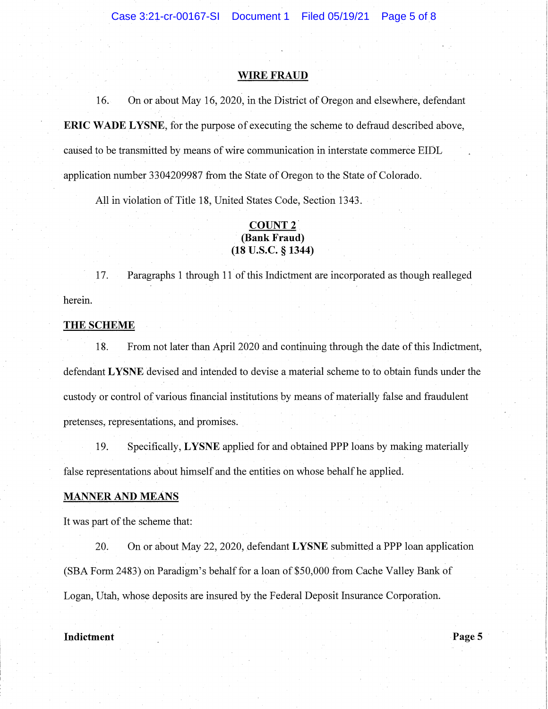#### **WIRE FRAUD**

16. On or about May 16, 2020, in the District of Oregon and elsewhere, defendant **ERIC WADE LYSNE,** for the purpose of executing the scheme to defraud described above, caused to be transmitted by means of wire communication in interstate commerce EIDL application number 3304209987 from the State of Oregon to the State of Colorado.

All in violation of Title 18, United States Code, Section 1343.

# **COUNT 2. (Bank Fraud) (18 u.s.c.** § **1344)**

17. Paragraphs 1 through 11 of this Indictment are incorporated as though realleged herein.

### **THE SCHEME**

18. From not later than April 2020 and continuing through the date of this Indictment, defendant **LYSNE** devised and intended to devise a material scheme to to obtain funds under the custody or control of various financial institutions by means of materially false and fraudulent pretenses, representations, and promises.

19. Specifically, **LYSNE** applied for and obtained PPP loans by making materially false representations about himself and the entities on whose behalf he applied.

### **MANNER AND MEANS**

It was part of the scheme that:

20. On or about May 22, 2020, defendant **LYSNE** submitted a PPP loan application (SBA Form 2483}on Paradigm's behalf for a loan of \$50,000 from Cache Valley Bank of Logan, Utah, whose deposits are insured by the Federal Deposit Insurance Corporation.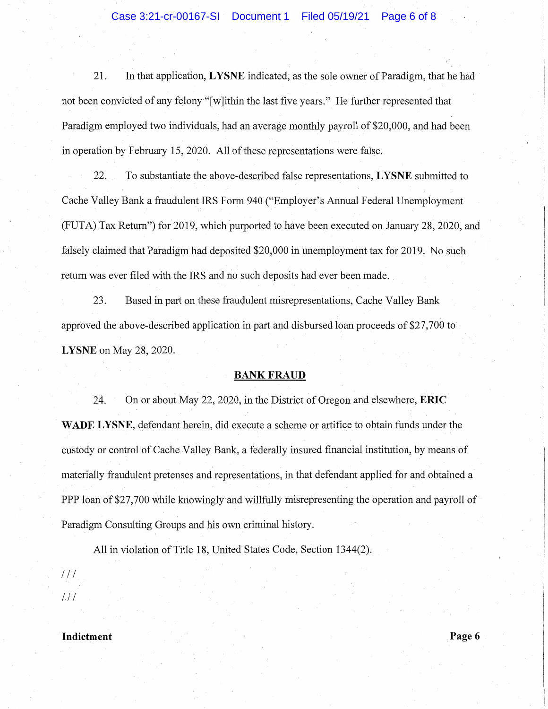21. In that application, **LYSNE** indicated; as the sole owner of Paradigm, that he had not been convicted of any felony "[w]ithin the last five years." He further represented that Paradigm employed two individuals, had an average monthly payroll of \$20,000, and had been in operation by February 15, 2020. All of these representations were false.

22. To substantiate the above-described false representations, **LYSNE** submitted to Cache Valley Bank a fraudulent IRS Form 940 ("Employer's Annual Federal Unemployment (FUTA) Tax Return") for 2019, which purported to have been executed on January 28, 2020, and falsely claimed that Paradigm had deposited \$20,000 in unemployment tax for 2019. No such return was ever filed with the IRS and no such deposits had ever been made.

23. Based in part on these fraudulent misrepresentations, Cache Valley Bank approved the above-described application in part and disbursed loan proceeds of \$27,700 to **LYSNE** on May 28, 2020.

### **BANKFRAUD**

24. On or about May 22, 2020, in the District of Oregon and elsewhere, **ERIC WADE LYSNE,** defendant herein, did execute a scheme or artifice to obtain funds under the custody or control of Cache Valley Bank, a federally insured financial institution, by means of materially fraudulent pretenses and representations, in that defendant applied for and obtained a PPP loan of \$27,700 while knowingly and willfully misrepresenting the operation and payroll of Paradigm Consulting Groups and his own criminal history.

All in violation of Title 18, United States Code, Section 1344(2).

 $11<sup>1</sup>$  $1.11$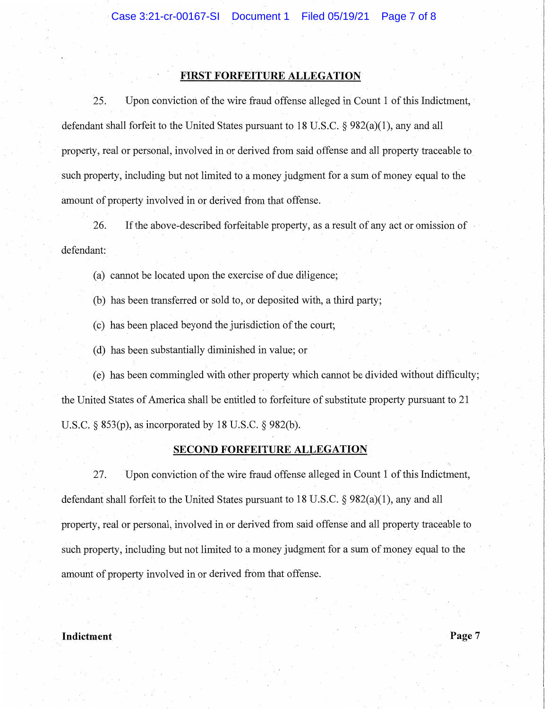## **FIRST FORFEITURE ALLEGATION**

25. Upon conviction of the wire fraud offense alleged in Count 1 of this Indictment, defendant shall forfeit to the United States pursuant to 18 U.S.C. § 982(a)(l), any and all property, real or personal, involved in or derived from said offense and all property traceable to such property, including but not limited to a money judgment for a sum of money equal to the amount of property involved in or derived from that offense.

26. If the above-described forfeitable property, as a result of any act or omission of defendant:

(a) cannot be located upon the exercise of due diligence;

(b) has been transferred or sold to, or deposited with, a third party;

( c) has been placed beyond the jurisdiction of the court;

( d) has been substantially diminished in value; or

( e) has been commingled with other property which cannot be divided without difficulty; the United States of America shall be entitled to forfeiture of substitute property pursuant to 21 U.S.C. § 853(p), as incorporated by 18 U.S.C. § 982(b).

## **SECOND FORFEITURE ALLEGATION**

27. Upon conviction of the wire fraud offense alleged in Count 1 of this Indictment, defendant shall forfeit to the United States pursuant to 18 U.S.C. § 982(a)(l), any and all property, real or personal, involved in or derived from said offense and all property traceable to such property, including but not limited to a money judgment for a sum of money equal to the amount of property involved in or derived from that offense.